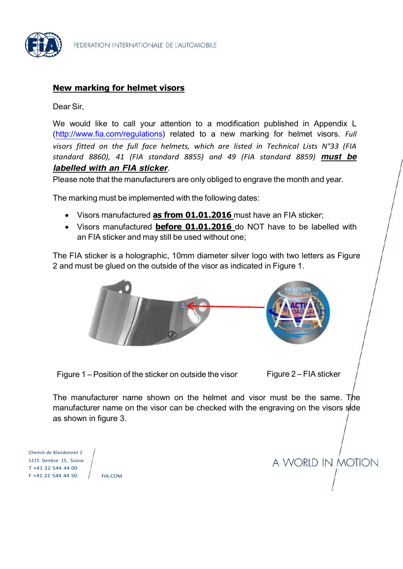

## **New marking for helmet visors**

Dear Sir,

We would like to call your attention to a modification published in Appendix L [\(http://www.fia.com/regulations\)](http://www.fia.com/regulations) related to a new marking for helmet visors. *Full visors fitted on the full face helmets, which are listed in Technical Lists N°33 (FIA standard 8860), 41 (FIA standard 8855) and 49 (FIA standard 8859) must be labelled with an FIA sticker*.

Please note that the manufacturers are only obliged to engrave the month and year.

The marking must be implemented with the following dates:

- Visors manufactured **as from 01.01.2016** must have an FIA sticker;
- Visors manufactured **before 01.01.2016** do NOT have to be labelled with an FIA sticker and may still be used without one;

The FIA sticker is a holographic, 10mm diameter silver logo with two letters as Figure 2 and must be glued on the outside of the visor as indicated in Figure 1.



Figure  $1$  – Position of the sticker on outside the visor Figure  $2$  – FIA sticker

The manufacturer name shown on the helmet and visor must be the same. The manufacturer name on the visor can be checked with the engraving on the visors side as shown in figure 3.

Chemin de Blandonnet 2 1215 Genève 15, Suisse T +41 22 544 44 00 F +41 22 544 44 50

FIA.COM

A WORLD IN MOTION